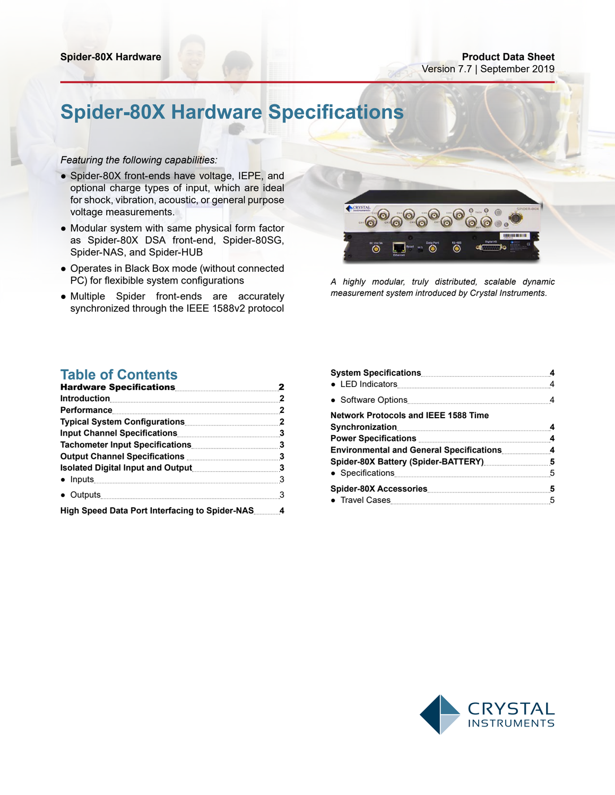# **Spider-80X Hardware Specifications**

### *Featuring the following capabilities:*

- Spider-80X front-ends have voltage, IEPE, and optional charge types of input, which are ideal for shock, vibration, acoustic, or general purpose voltage measurements.
- Modular system with same physical form factor as Spider-80X DSA front-end, Spider-80SG, Spider-NAS, and Spider-HUB
- Operates in Black Box mode (without connected PC) for flexibible system configurations
- Multiple Spider front-ends are accurately synchronized through the IEEE 1588v2 protocol



*A highly modular, truly distributed, scalable dynamic measurement system introduced by Crystal Instruments.*

## **Table of Contents**

| Performance 2                                        |  |
|------------------------------------------------------|--|
|                                                      |  |
|                                                      |  |
| Tachometer Input Specifications 3                    |  |
| Output Channel Specifications <b>Manual Action</b> 3 |  |
|                                                      |  |
| • Inputs 3                                           |  |
| • Outputs 3                                          |  |
| High Speed Data Port Interfacing to Spider-NAS 4     |  |

| System Specifications 4                                                             |  |
|-------------------------------------------------------------------------------------|--|
|                                                                                     |  |
|                                                                                     |  |
| <b>Network Protocols and IEEE 1588 Time</b>                                         |  |
| Synchronization 4                                                                   |  |
| Power Specifications Manual Manual Manual Manual Manual Manual Manual Manual Manual |  |
| <b>Environmental and General Specifications 4</b>                                   |  |
| Spider-80X Battery (Spider-BATTERY) 35                                              |  |
|                                                                                     |  |
|                                                                                     |  |
|                                                                                     |  |
|                                                                                     |  |

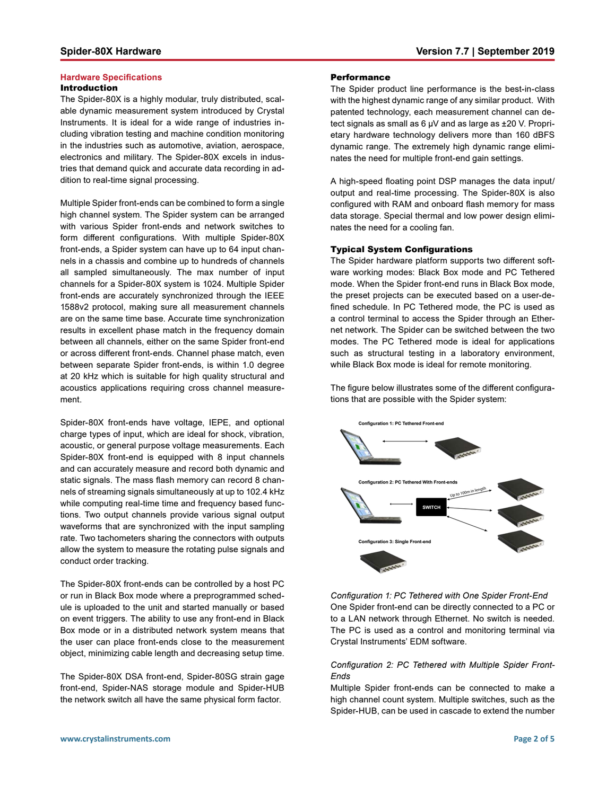### <span id="page-1-0"></span>**Hardware Specifications** Introduction

The Spider-80X is a highly modular, truly distributed, scalable dynamic measurement system introduced by Crystal Instruments. It is ideal for a wide range of industries including vibration testing and machine condition monitoring in the industries such as automotive, aviation, aerospace, electronics and military. The Spider-80X excels in industries that demand quick and accurate data recording in addition to real-time signal processing.

Multiple Spider front-ends can be combined to form a single high channel system. The Spider system can be arranged with various Spider front-ends and network switches to form different configurations. With multiple Spider-80X front-ends, a Spider system can have up to 64 input channels in a chassis and combine up to hundreds of channels all sampled simultaneously. The max number of input channels for a Spider-80X system is 1024. Multiple Spider front-ends are accurately synchronized through the IEEE 1588v2 protocol, making sure all measurement channels are on the same time base. Accurate time synchronization results in excellent phase match in the frequency domain between all channels, either on the same Spider front-end or across different front-ends. Channel phase match, even between separate Spider front-ends, is within 1.0 degree at 20 kHz which is suitable for high quality structural and acoustics applications requiring cross channel measurement.

Spider-80X front-ends have voltage, IEPE, and optional charge types of input, which are ideal for shock, vibration, acoustic, or general purpose voltage measurements. Each Spider-80X front-end is equipped with 8 input channels and can accurately measure and record both dynamic and static signals. The mass flash memory can record 8 channels of streaming signals simultaneously at up to 102.4 kHz while computing real-time time and frequency based functions. Two output channels provide various signal output waveforms that are synchronized with the input sampling rate. Two tachometers sharing the connectors with outputs allow the system to measure the rotating pulse signals and conduct order tracking.

The Spider-80X front-ends can be controlled by a host PC or run in Black Box mode where a preprogrammed schedule is uploaded to the unit and started manually or based on event triggers. The ability to use any front-end in Black Box mode or in a distributed network system means that the user can place front-ends close to the measurement object, minimizing cable length and decreasing setup time.

The Spider-80X DSA front-end, Spider-80SG strain gage front-end, Spider-NAS storage module and Spider-HUB the network switch all have the same physical form factor.

### **Performance**

The Spider product line performance is the best-in-class with the highest dynamic range of any similar product. With patented technology, each measurement channel can detect signals as small as 6 µV and as large as ±20 V. Proprietary hardware technology delivers more than 160 dBFS dynamic range. The extremely high dynamic range eliminates the need for multiple front-end gain settings.

A high-speed floating point DSP manages the data input/ output and real-time processing. The Spider-80X is also configured with RAM and onboard flash memory for mass data storage. Special thermal and low power design eliminates the need for a cooling fan.

### Typical System Configurations

The Spider hardware platform supports two different software working modes: Black Box mode and PC Tethered mode. When the Spider front-end runs in Black Box mode, the preset projects can be executed based on a user-defined schedule. In PC Tethered mode, the PC is used as a control terminal to access the Spider through an Ethernet network. The Spider can be switched between the two modes. The PC Tethered mode is ideal for applications such as structural testing in a laboratory environment, while Black Box mode is ideal for remote monitoring.

The figure below illustrates some of the different configurations that are possible with the Spider system:



*Configuration 1: PC Tethered with One Spider Front-End* One Spider front-end can be directly connected to a PC or to a LAN network through Ethernet. No switch is needed. The PC is used as a control and monitoring terminal via Crystal Instruments' EDM software.

### *Configuration 2: PC Tethered with Multiple Spider Front-Ends*

Multiple Spider front-ends can be connected to make a high channel count system. Multiple switches, such as the Spider-HUB, can be used in cascade to extend the number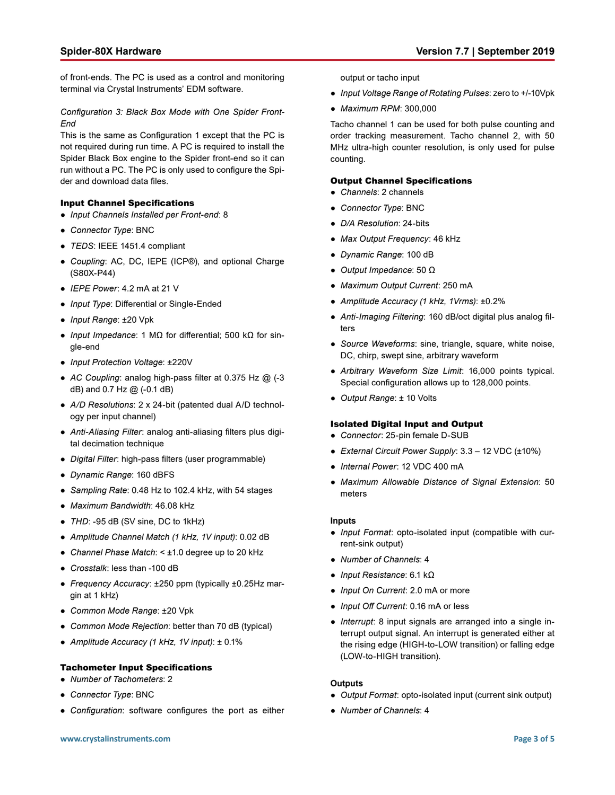<span id="page-2-0"></span>of front-ends. The PC is used as a control and monitoring terminal via Crystal Instruments' EDM software.

*Configuration 3: Black Box Mode with One Spider Front-End*

This is the same as Configuration 1 except that the PC is not required during run time. A PC is required to install the Spider Black Box engine to the Spider front-end so it can run without a PC. The PC is only used to configure the Spider and download data files.

### Input Channel Specifications

- *Input Channels Installed per Front-end*: 8
- *Connector Type*: BNC
- *TEDS*: IEEE 1451.4 compliant
- *Coupling*: AC, DC, IEPE (ICP®), and optional Charge (S80X-P44)
- *IEPE Power*: 4.2 mA at 21 V
- *Input Type*: Differential or Single-Ended
- *Input Range*: ±20 Vpk
- *Input Impedance*: 1 MΩ for differential; 500 kΩ for single-end
- *Input Protection Voltage*: ±220V
- *AC Coupling*: analog high-pass filter at 0.375 Hz @ (-3 dB) and 0.7 Hz @ (-0.1 dB)
- *A/D Resolutions*: 2 x 24-bit (patented dual A/D technology per input channel)
- *Anti-Aliasing Filter*: analog anti-aliasing filters plus digital decimation technique
- *Digital Filter*: high-pass filters (user programmable)
- *Dynamic Range*: 160 dBFS
- *Sampling Rate*: 0.48 Hz to 102.4 kHz, with 54 stages
- *Maximum Bandwidth*: 46.08 kHz
- *THD*: -95 dB (SV sine, DC to 1kHz)
- *Amplitude Channel Match (1 kHz, 1V input)*: 0.02 dB
- *Channel Phase Match*: < ±1.0 degree up to 20 kHz
- *Crosstalk*: less than -100 dB
- *Frequency Accuracy*: ±250 ppm (typically ±0.25Hz margin at 1 kHz)
- *Common Mode Range*: ±20 Vpk
- *Common Mode Rejection*: better than 70 dB (typical)
- *Amplitude Accuracy (1 kHz, 1V input)*: ± 0.1%

### Tachometer Input Specifications

- *Number of Tachometers*: 2
- *Connector Type*: BNC
- *Configuration*: software configures the port as either

output or tacho input

- *Input Voltage Range of Rotating Pulses*: zero to +/-10Vpk
- *Maximum RPM*: 300,000

Tacho channel 1 can be used for both pulse counting and order tracking measurement. Tacho channel 2, with 50 MHz ultra-high counter resolution, is only used for pulse counting.

### Output Channel Specifications

- *Channels*: 2 channels
- *Connector Type*: BNC
- *D/A Resolution*: 24-bits
- *Max Output Frequency*: 46 kHz
- *Dynamic Range*: 100 dB
- *Output Impedance*: 50 Ω
- *Maximum Output Current*: 250 mA
- *Amplitude Accuracy (1 kHz, 1Vrms)*: ±0.2%
- *Anti-Imaging Filtering*: 160 dB/oct digital plus analog filters
- *Source Waveforms*: sine, triangle, square, white noise, DC, chirp, swept sine, arbitrary waveform
- *Arbitrary Waveform Size Limit*: 16,000 points typical. Special configuration allows up to 128,000 points.
- *Output Range*: ± 10 Volts

### Isolated Digital Input and Output

- *Connector*: 25-pin female D-SUB
- *External Circuit Power Supply*: 3.3 ‒ 12 VDC (±10%)
- *Internal Power*: 12 VDC 400 mA
- *Maximum Allowable Distance of Signal Extension*: 50 meters

### **Inputs**

- *Input Format*: opto-isolated input (compatible with current-sink output)
- *Number of Channels*: 4
- *Input Resistance*: 6.1 kΩ
- *Input On Current*: 2.0 mA or more
- *Input Off Current*: 0.16 mA or less
- *Interrupt*: 8 input signals are arranged into a single interrupt output signal. An interrupt is generated either at the rising edge (HIGH-to-LOW transition) or falling edge (LOW-to-HIGH transition).

### **Outputs**

- *Output Format*: opto-isolated input (current sink output)
- *Number of Channels*: 4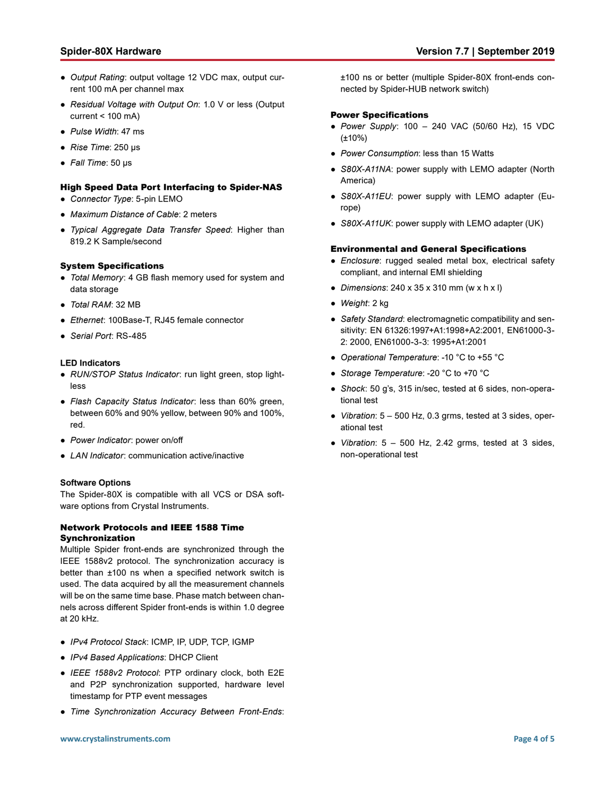- <span id="page-3-0"></span>● *Output Rating*: output voltage 12 VDC max, output current 100 mA per channel max
- *Residual Voltage with Output On*: 1.0 V or less (Output current < 100 mA)
- *Pulse Width*: 47 ms
- *Rise Time*: 250 µs
- *Fall Time*: 50 µs

### High Speed Data Port Interfacing to Spider-NAS

- *Connector Type*: 5-pin LEMO
- *Maximum Distance of Cable*: 2 meters
- *Typical Aggregate Data Transfer Speed*: Higher than 819.2 K Sample/second

### System Specifications

- *Total Memory*: 4 GB flash memory used for system and data storage
- *Total RAM*: 32 MB
- *Ethernet*: 100Base-T, RJ45 female connector
- *Serial Port*: RS-485

### **LED Indicators**

- *RUN/STOP Status Indicator*: run light green, stop lightless
- *Flash Capacity Status Indicator*: less than 60% green, between 60% and 90% yellow, between 90% and 100%, red.
- *Power Indicator*: power on/off
- *LAN Indicator*: communication active/inactive

### **Software Options**

The Spider-80X is compatible with all VCS or DSA software options from Crystal Instruments.

### Network Protocols and IEEE 1588 Time Synchronization

Multiple Spider front-ends are synchronized through the IEEE 1588v2 protocol. The synchronization accuracy is better than ±100 ns when a specified network switch is used. The data acquired by all the measurement channels will be on the same time base. Phase match between channels across different Spider front-ends is within 1.0 degree at 20 kHz.

- *IPv4 Protocol Stack*: ICMP, IP, UDP, TCP, IGMP
- *IPv4 Based Applications*: DHCP Client
- *IEEE 1588v2 Protocol*: PTP ordinary clock, both E2E and P2P synchronization supported, hardware level timestamp for PTP event messages
- *Time Synchronization Accuracy Between Front-Ends*:

±100 ns or better (multiple Spider-80X front-ends connected by Spider-HUB network switch)

### Power Specifications

- *Power Supply*: 100 240 VAC (50/60 Hz), 15 VDC (±10%)
- *Power Consumption*: less than 15 Watts
- *S80X-A11NA*: power supply with LEMO adapter (North America)
- *S80X-A11EU*: power supply with LEMO adapter (Europe)
- *S80X-A11UK*: power supply with LEMO adapter (UK)

### Environmental and General Specifications

- *Enclosure*: rugged sealed metal box, electrical safety compliant, and internal EMI shielding
- *Dimensions*: 240 x 35 x 310 mm (w x h x l)
- *Weight*: 2 kg
- *Safety Standard*: electromagnetic compatibility and sensitivity: EN 61326:1997+A1:1998+A2:2001, EN61000-3- 2: 2000, EN61000-3-3: 1995+A1:2001
- *Operational Temperature*: -10 °C to +55 °C
- *Storage Temperature*: -20 °C to +70 °C
- *Shock*: 50 g's, 315 in/sec, tested at 6 sides, non-operational test
- *Vibration*: 5 500 Hz, 0.3 grms, tested at 3 sides, operational test
- *Vibration*: 5 500 Hz, 2.42 grms, tested at 3 sides, non-operational test